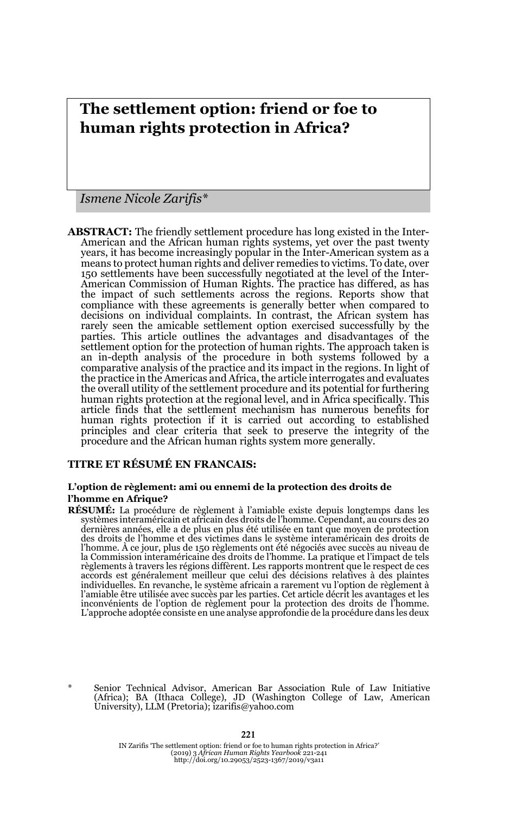# **The settlement option: friend or foe to human rights protection in Africa?**

*Ismene Nicole Zarifis\**

**ABSTRACT:** The friendly settlement procedure has long existed in the Inter-American and the African human rights systems, yet over the past twenty years, it has become increasingly popular in the Inter-American system as a means to protect human rights and deliver remedies to victims. To date, over 150 settlements have been successfully negotiated at the level of the Inter-American Commission of Human Rights. The practice has differed, as has the impact of such settlements across the regions. Reports show that compliance with these agreements is generally better when compared to decisions on individual complaints. In contrast, the African system has rarely seen the amicable settlement option exercised successfully by the parties. This article outlines the advantages and disadvantages of the settlement option for the protection of human rights. The approach taken is an in-depth analysis of the procedure in both systems followed by a comparative analysis of the practice and its impact in the regions. In light of the practice in the Americas and Africa, the article interrogates and evaluates the overall utility of the settlement procedure and its potential for furthering human rights protection at the regional level, and in Africa specifically. This article finds that the settlement mechanism has numerous benefits for human rights protection if it is carried out according to established principles and clear criteria that seek to preserve the integrity of the procedure and the African human rights system more generally.

### **TITRE ET RÉSUMÉ EN FRANCAIS:**

#### **L'option de règlement: ami ou ennemi de la protection des droits de l'homme en Afrique?**

**RÉSUMÉ:** La procédure de règlement à l'amiable existe depuis longtemps dans les systèmes interaméricain et africain des droits de l'homme. Cependant, au cours des 20 dernières années, elle a de plus en plus été utilisée en tant que moyen de protection des droits de l'homme et des victimes dans le système interaméricain des droits de l'homme. À ce jour, plus de 150 règlements ont été négociés avec succès au niveau de la Commission interaméricaine des droits de l'homme. La pratique et l'impact de tels règlements à travers les régions diffèrent. Les rapports montrent que le respect de ces accords est généralement meilleur que celui des décisions relatives à des plaintes individuelles. En revanche, le système africain a rarement vu l'option de règlement à l'amiable être utilisée avec succès par les parties. Cet article décrit les avantages et les inconvénients de l'option de règlement pour la protection des droits de l'homme. L'approche adoptée consiste en une analyse approfondie de la procédure dans les deux

Senior Technical Advisor, American Bar Association Rule of Law Initiative (Africa); BA (Ithaca College), JD (Washington College of Law, American University), LLM (Pretoria); izarifis@yahoo.com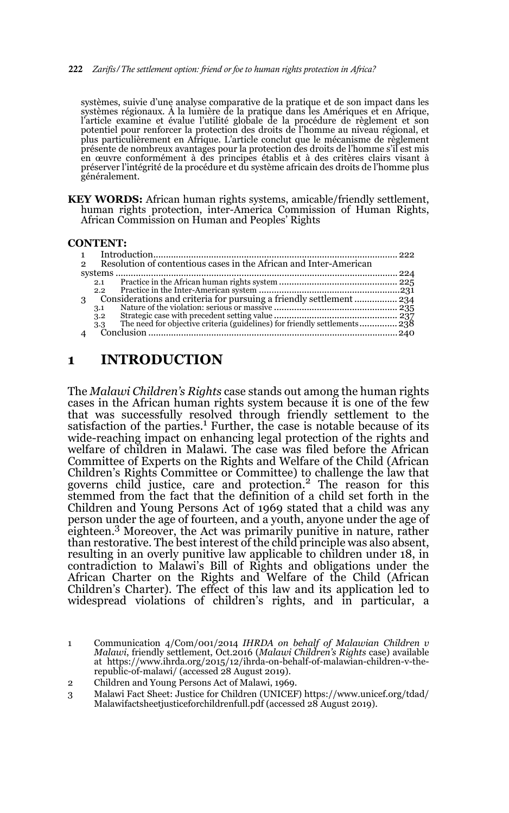#### 222 *Zarifis/The settlement option: friend or foe to human rights protection in Africa?*

systèmes, suivie d'une analyse comparative de la pratique et de son impact dans les systèmes régionaux. À la lumière de la pratique dans les Amériques et en Afrique, l'article examine et évalue l'utilité globale de la procédure de règlement et son potentiel pour renforcer la protection des droits de l'homme au niveau régional, et plus particulièrement en Afrique. L'article conclut que le mécanisme de règlement présente de nombreux avantages pour la protection des droits de l'homme s'il est mis<br>en œuvre conformément à des principes établis et à des critères clairs visant à<br>préserver l'intégrité de la procédure et du s généralement.

**KEY WORDS:** African human rights systems, amicable/friendly settlement, human rights protection, inter-America Commission of Human Rights, African Commission on Human and Peoples' Rights

#### **CONTENT:**

| 2 | Resolution of contentious cases in the African and Inter-American |  |
|---|-------------------------------------------------------------------|--|
|   |                                                                   |  |
|   | 2.1                                                               |  |
|   | 2.2                                                               |  |
|   |                                                                   |  |
|   | 3.1                                                               |  |
|   | 3.2                                                               |  |
|   | 3.3                                                               |  |
|   |                                                                   |  |
|   |                                                                   |  |

## **1 INTRODUCTION**

The *Malawi Children's Rights* case stands out among the human rights cases in the African human rights system because it is one of the few that was successfully resolved through friendly settlement to the satisfaction of the parties.<sup>1</sup> Further, the case is notable because of its wide-reaching impact on enhancing legal protection of the rights and welfare of children in Malawi. The case was filed before the African Committee of Experts on the Rights and Welfare of the Child (African Children's Rights Committee or Committee) to challenge the law that governs child justice, care and protection.<sup>2</sup> The reason for this stemmed from the fact that the definition of a child set forth in the Children and Young Persons Act of 1969 stated that a child was any person under the age of fourteen, and a youth, anyone under the age of eighteen.3 Moreover, the Act was primarily punitive in nature, rather than restorative. The best interest of the child principle was also absent, resulting in an overly punitive law applicable to children under 18, in contradiction to Malawi's Bill of Rights and obligations under the African Charter on the Rights and Welfare of the Child (African Children's Charter). The effect of this law and its application led to widespread violations of children's rights, and in particular, a

<sup>1</sup> Communication 4/Com/001/2014 *IHRDA on behalf of Malawian Children v Malawi*, friendly settlement, Oct.2016 (*Malawi Children's Rights* case) available at https://www.ihrda.org/2015/12/ihrda-on-behalf-of-malawian-children-v-the-republic-of-malawi/ (accessed 28 August 2019).

<sup>2</sup> Children and Young Persons Act of Malawi, 1969.

<sup>3</sup> Malawi Fact Sheet: Justice for Children (UNICEF) https://www.unicef.org/tdad/ Malawifactsheetjusticeforchildrenfull.pdf (accessed 28 August 2019).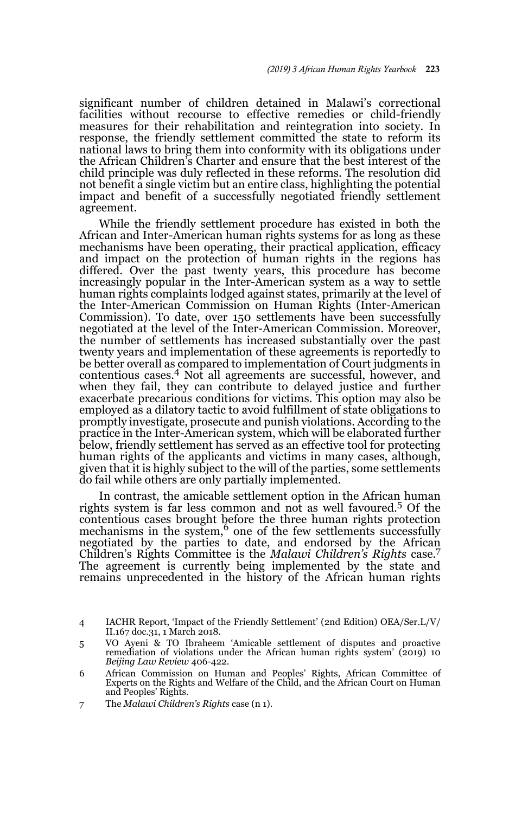significant number of children detained in Malawi's correctional facilities without recourse to effective remedies or child-friendly measures for their rehabilitation and reintegration into society. In response, the friendly settlement committed the state to reform its national laws to bring them into conformity with its obligations under the African Children's Charter and ensure that the best interest of the child principle was duly reflected in these reforms. The resolution did not benefit a single victim but an entire class, highlighting the potential impact and benefit of a successfully negotiated friendly settlement agreement.

While the friendly settlement procedure has existed in both the African and Inter-American human rights systems for as long as these mechanisms have been operating, their practical application, efficacy and impact on the protection of human rights in the regions has differed. Over the past twenty years, this procedure has become increasingly popular in the Inter-American system as a way to settle human rights complaints lodged against states, primarily at the level of the Inter-American Commission on Human Rights (Inter-American Commission). To date, over 150 settlements have been successfully negotiated at the level of the Inter-American Commission. Moreover, the number of settlements has increased substantially over the past twenty years and implementation of these agreements is reportedly to be better overall as compared to implementation of Court judgments in contentious cases.4 Not all agreements are successful, however, and when they fail, they can contribute to delayed justice and further exacerbate precarious conditions for victims. This option may also be employed as a dilatory tactic to avoid fulfillment of state obligations to promptly investigate, prosecute and punish violations. According to the practice in the Inter-American system, which will be elaborated further below, friendly settlement has served as an effective tool for protecting human rights of the applicants and victims in many cases, although, given that it is highly subject to the will of the parties, some settlements do fail while others are only partially implemented.

In contrast, the amicable settlement option in the African human rights system is far less common and not as well favoured.5 Of the contentious cases brought before the three human rights protection mechanisms in the system,<sup>6</sup> one of the few settlements successfully negotiated by the parties to date, and endorsed by the African Children's Rights Committee is the *Malawi Children's Rights* case.<sup>7</sup> The agreement is currently being implemented by the state and remains unprecedented in the history of the African human rights

<sup>4</sup> IACHR Report, 'Impact of the Friendly Settlement' (2nd Edition) OEA/Ser.L/V/ II.167 doc.31, 1 March 2018.

<sup>5</sup> VO Ayeni & TO Ibraheem 'Amicable settlement of disputes and proactive remediation of violations under the African human rights system' (2019) 10 *Beijing Law Review* 406-422.

<sup>6</sup> African Commission on Human and Peoples' Rights, African Committee of Experts on the Rights and Welfare of the Child, and the African Court on Human and Peoples' Rights.

<sup>7</sup> The *Malawi Children's Rights* case (n 1).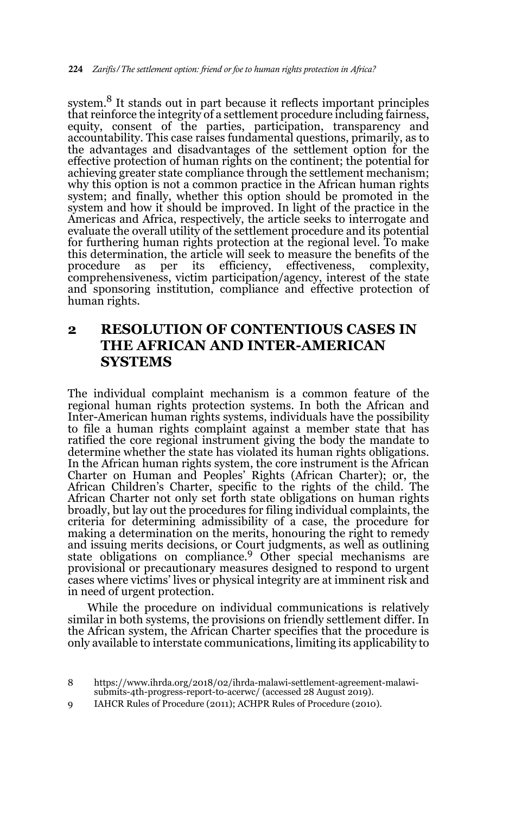system.<sup>8</sup> It stands out in part because it reflects important principles that reinforce the integrity of a settlement procedure including fairness, equity, consent of the parties, participation, transparency and accountability. This case raises fundamental questions, primarily, as to the advantages and disadvantages of the settlement option for the effective protection of human rights on the continent; the potential for achieving greater state compliance through the settlement mechanism; why this option is not a common practice in the African human rights system; and finally, whether this option should be promoted in the system and how it should be improved. In light of the practice in the Americas and Africa, respectively, the article seeks to interrogate and evaluate the overall utility of the settlement procedure and its potential for furthering human rights protection at the regional level. To make this determination, the article will seek to measure the benefits of the procedure as per its efficiency, effectiveness, complexity, as per its efficiency, effectiveness, complexity, comprehensiveness, victim participation/agency, interest of the state and sponsoring institution, compliance and effective protection of human rights.

# **2 RESOLUTION OF CONTENTIOUS CASES IN THE AFRICAN AND INTER-AMERICAN SYSTEMS**

The individual complaint mechanism is a common feature of the regional human rights protection systems. In both the African and Inter-American human rights systems, individuals have the possibility to file a human rights complaint against a member state that has ratified the core regional instrument giving the body the mandate to determine whether the state has violated its human rights obligations. In the African human rights system, the core instrument is the African Charter on Human and Peoples' Rights (African Charter); or, the African Children's Charter, specific to the rights of the child. The African Charter not only set forth state obligations on human rights broadly, but lay out the procedures for filing individual complaints, the criteria for determining admissibility of a case, the procedure for making a determination on the merits, honouring the right to remedy and issuing merits decisions, or Court judgments, as well as outlining state obligations on compliance.<sup>9</sup> Other special mechanisms are provisional or precautionary measures designed to respond to urgent cases where victims' lives or physical integrity are at imminent risk and in need of urgent protection.

While the procedure on individual communications is relatively similar in both systems, the provisions on friendly settlement differ. In the African system, the African Charter specifies that the procedure is only available to interstate communications, limiting its applicability to

9 IAHCR Rules of Procedure (2011); ACHPR Rules of Procedure (2010).

<sup>8</sup> https://www.ihrda.org/2018/02/ihrda-malawi-settlement-agreement-malawisubmits-4th-progress-report-to-acerwc/ (accessed 28 August 2019).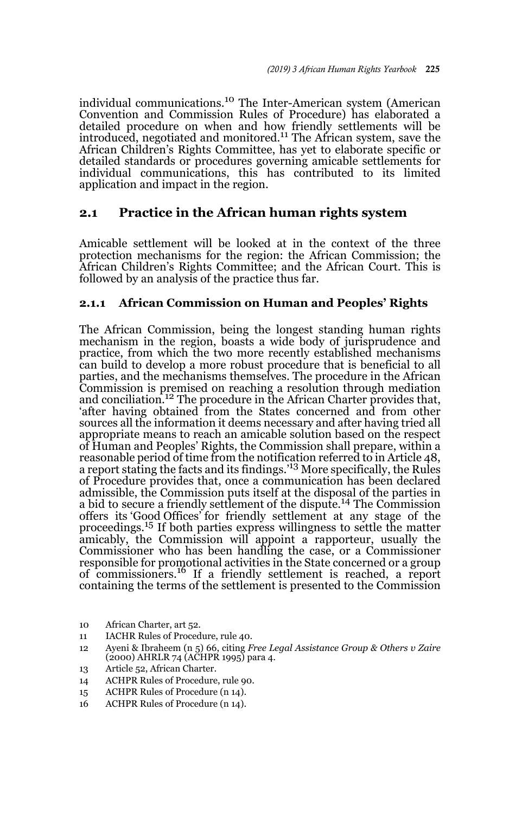individual communications.10 The Inter-American system (American Convention and Commission Rules of Procedure) has elaborated a detailed procedure on when and how friendly settlements will be introduced, negotiated and monitored.<sup>11</sup> The African system, save the African Children's Rights Committee, has yet to elaborate specific or detailed standards or procedures governing amicable settlements for individual communications, this has contributed to its limited application and impact in the region.

## **2.1 Practice in the African human rights system**

Amicable settlement will be looked at in the context of the three protection mechanisms for the region: the African Commission; the African Children's Rights Committee; and the African Court. This is followed by an analysis of the practice thus far.

### **2.1.1 African Commission on Human and Peoples' Rights**

The African Commission, being the longest standing human rights mechanism in the region, boasts a wide body of jurisprudence and practice, from which the two more recently established mechanisms can build to develop a more robust procedure that is beneficial to all parties, and the mechanisms themselves. The procedure in the African Commission is premised on reaching a resolution through mediation and conciliation.<sup>12</sup> The procedure in the African Charter provides that, 'after having obtained from the States concerned and from other sources all the information it deems necessary and after having tried all appropriate means to reach an amicable solution based on the respect of Human and Peoples' Rights, the Commission shall prepare, within a reasonable period of time from the notification referred to in Article 48, a report stating the facts and its findings.'13 More specifically, the Rules of Procedure provides that, once a communication has been declared admissible, the Commission puts itself at the disposal of the parties in a bid to secure a friendly settlement of the dispute.14 The Commission offers its 'Good Offices' for friendly settlement at any stage of the proceedings.15 If both parties express willingness to settle the matter amicably, the Commission will appoint a rapporteur, usually the Commissioner who has been handling the case, or a Commissioner responsible for promotional activities in the State concerned or a group of commissioners.16 If a friendly settlement is reached, a report containing the terms of the settlement is presented to the Commission

- 10 African Charter, art 52.
- 11 IACHR Rules of Procedure, rule 40.
- 12 Ayeni & Ibraheem (n 5) 66, citing *Free Legal Assistance Group & Others v Zaire*  $(2000)$  AHRLR 74  $(ACHPR 1995)$  para 4.
- 13 Article 52, African Charter.
- 14 ACHPR Rules of Procedure, rule 90.
- 15 ACHPR Rules of Procedure (n 14).
- 16 ACHPR Rules of Procedure (n 14).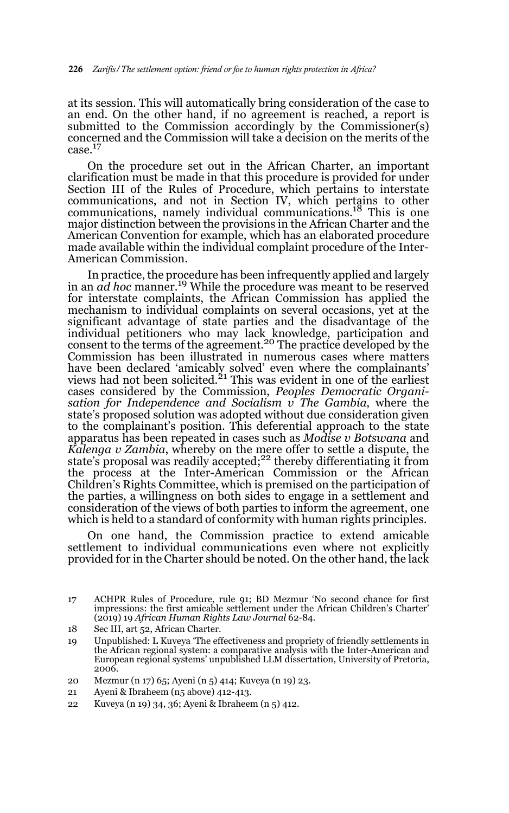at its session. This will automatically bring consideration of the case to an end. On the other hand, if no agreement is reached, a report is submitted to the Commission accordingly by the Commissioner(s) concerned and the Commission will take a decision on the merits of the case.<sup>17</sup>

On the procedure set out in the African Charter, an important clarification must be made in that this procedure is provided for under Section III of the Rules of Procedure, which pertains to interstate communications, and not in Section IV, which pertains to other communications, namely individual communications.18 This is one major distinction between the provisions in the African Charter and the American Convention for example, which has an elaborated procedure made available within the individual complaint procedure of the Inter-American Commission.

In practice, the procedure has been infrequently applied and largely in an *ad hoc* manner.19 While the procedure was meant to be reserved for interstate complaints, the African Commission has applied the mechanism to individual complaints on several occasions, yet at the significant advantage of state parties and the disadvantage of the individual petitioners who may lack knowledge, participation and consent to the terms of the agreement.<sup>20</sup> The practice developed by the Commission has been illustrated in numerous cases where matters have been declared 'amicably solved' even where the complainants'<br>views had not been solicited.<sup>21</sup> This was evident in one of the earliest cases considered by the Commission, *Peoples Democratic Organisation for Independence and Socialism v The Gambia*, where the state's proposed solution was adopted without due consideration given to the complainant's position. This deferential approach to the state apparatus has been repeated in cases such as *Modise v Botswana* and *Kalenga v Zambia*, whereby on the mere offer to settle a dispute, the<br>state's proposal was readily accepted;<sup>22</sup> thereby differentiating it from the process at the Inter-American Commission or the African Children's Rights Committee, which is premised on the participation of the parties, a willingness on both sides to engage in a settlement and consideration of the views of both parties to inform the agreement, one which is held to a standard of conformity with human rights principles.

On one hand, the Commission practice to extend amicable settlement to individual communications even where not explicitly provided for in the Charter should be noted. On the other hand, the lack

<sup>17</sup> ACHPR Rules of Procedure, rule 91; BD Mezmur 'No second chance for first impressions: the first amicable settlement under the African Children's Charter' (2019) 19 *African Human Rights Law Journal* 62-84.

<sup>18</sup> Sec III, art 52, African Charter.

<sup>19</sup> Unpublished: L Kuveya 'The effectiveness and propriety of friendly settlements in the African regional system: a comparative analysis with the Inter-American and European regional systems' unpublished LLM dissertation, University of Pretoria, 2006.

<sup>20</sup> Mezmur (n 17) 65; Ayeni (n 5) 414; Kuveya (n 19) 23.

<sup>21</sup> Ayeni & Ibraheem (n5 above) 412-413.

<sup>22</sup> Kuveya (n 19) 34, 36; Ayeni & Ibraheem (n 5) 412.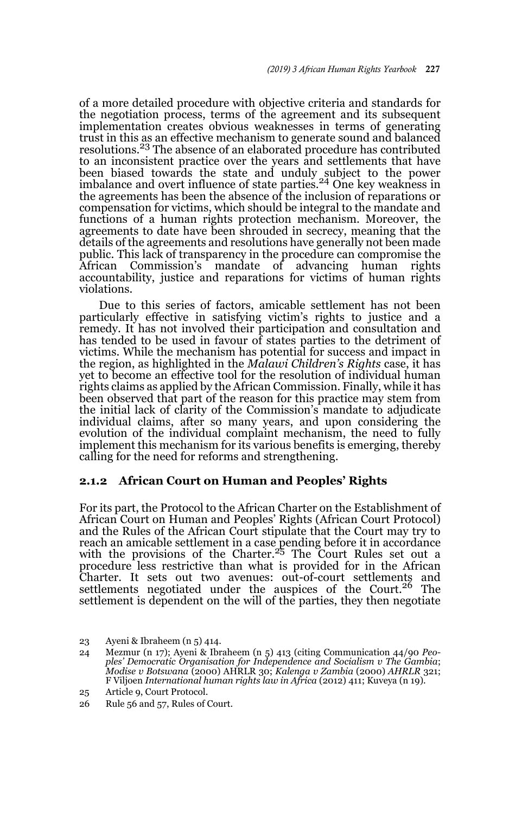of a more detailed procedure with objective criteria and standards for the negotiation process, terms of the agreement and its subsequent implementation creates obvious weaknesses in terms of generating trust in this as an effective mechanism to generate sound and balanced resolutions.23 The absence of an elaborated procedure has contributed to an inconsistent practice over the years and settlements that have been biased towards the state and unduly subject to the power<br>imbalance and overt influence of state parties.<sup>24</sup> One key weakness in the agreements has been the absence of the inclusion of reparations or compensation for victims, which should be integral to the mandate and functions of a human rights protection mechanism. Moreover, the agreements to date have been shrouded in secrecy, meaning that the details of the agreements and resolutions have generally not been made public. This lack of transparency in the procedure can compromise the African Commission's mandate of advancing human rights accountability, justice and reparations for victims of human rights violations.

Due to this series of factors, amicable settlement has not been particularly effective in satisfying victim's rights to justice and a remedy. It has not involved their participation and consultation and has tended to be used in favour of states parties to the detriment of victims. While the mechanism has potential for success and impact in the region, as highlighted in the *Malawi Children's Rights* case, it has yet to become an effective tool for the resolution of individual human rights claims as applied by the African Commission. Finally, while it has been observed that part of the reason for this practice may stem from the initial lack of clarity of the Commission's mandate to adjudicate individual claims, after so many years, and upon considering the evolution of the individual complaint mechanism, the need to fully implement this mechanism for its various benefits is emerging, thereby calling for the need for reforms and strengthening.

### **2.1.2 African Court on Human and Peoples' Rights**

For its part, the Protocol to the African Charter on the Establishment of African Court on Human and Peoples' Rights (African Court Protocol) and the Rules of the African Court stipulate that the Court may try to reach an amicable settlement in a case pending before it in accordance with the provisions of the Charter.<sup>25</sup> The Court Rules set out a procedure less restrictive than what is provided for in the African Charter. It sets out two avenues: out-of-court settlements and settlements negotiated under the auspices of the Court.<sup>26</sup> The settlement is dependent on the will of the parties, they then negotiate

<sup>23</sup> Ayeni & Ibraheem (n 5) 414.

<sup>24</sup> Mezmur (n 17); Ayeni & Ibraheem (n 5) 413 (citing Communication 44/90 *Peoples' Democratic Organisation for Independence and Socialism v The Gambia*; *Modise v Botswana* (2000) AHRLR 30; *Kalenga v Zambia* (2000) *AHRLR* 321; F Viljoen *International human rights law in Africa* (2012) 411; Kuveya (n 19).

<sup>25</sup> Article 9, Court Protocol.

<sup>26</sup> Rule 56 and 57, Rules of Court.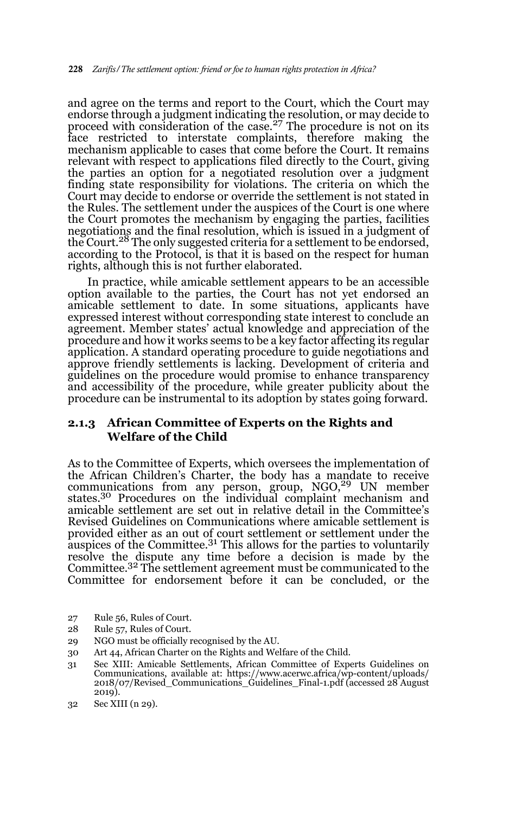and agree on the terms and report to the Court, which the Court may endorse through a judgment indicating the resolution, or may decide to proceed with consideration of the case.<sup>27</sup> The procedure is not on its face restricted to interstate complaints, therefore making the mechanism applicable to cases that come before the Court. It remains relevant with respect to applications filed directly to the Court, giving the parties an option for a negotiated resolution over a judgment finding state responsibility for violations. The criteria on which the Court may decide to endorse or override the settlement is not stated in the Rules. The settlement under the auspices of the Court is one where the Court promotes the mechanism by engaging the parties, facilities negotiations and the final resolution, which is issued in a judgment of the Court.<sup>28</sup> The only suggested criteria for a settlement to be endorsed, according to the Protocol, is that it is based on the respect for human rights, although this is not further elaborated.

In practice, while amicable settlement appears to be an accessible option available to the parties, the Court has not yet endorsed an amicable settlement to date. In some situations, applicants have expressed interest without corresponding state interest to conclude an agreement. Member states' actual knowledge and appreciation of the procedure and how it works seems to be a key factor affecting its regular application. A standard operating procedure to guide negotiations and approve friendly settlements is lacking. Development of criteria and guidelines on the procedure would promise to enhance transparency and accessibility of the procedure, while greater publicity about the procedure can be instrumental to its adoption by states going forward.

### **2.1.3 African Committee of Experts on the Rights and Welfare of the Child**

As to the Committee of Experts, which oversees the implementation of the African Children's Charter, the body has a mandate to receive communications from any person, group, NGO,<sup>29</sup> UN member states.<sup>30</sup> Procedures on the individual complaint mechanism and amicable settlement are set out in relative detail in the Committee's Revised Guidelines on Communications where amicable settlement is provided either as an out of court settlement or settlement under the auspices of the Committee.<sup>31</sup> This allows for the parties to voluntarily resolve the dispute any time before a decision is made by the Committee.32 The settlement agreement must be communicated to the Committee for endorsement before it can be concluded, or the

- 27 Rule 56, Rules of Court.
- 28 Rule 57, Rules of Court.
- 29 NGO must be officially recognised by the AU.
- 30 Art 44, African Charter on the Rights and Welfare of the Child.
- 31 Sec XIII: Amicable Settlements, African Committee of Experts Guidelines on Communications, available at: https://www.acerwc.africa/wp-content/uploads/ 2018/07/Revised\_Communications\_Guidelines\_Final-1.pdf (accessed 28 August 2019).

<sup>32</sup> Sec XIII (n 29).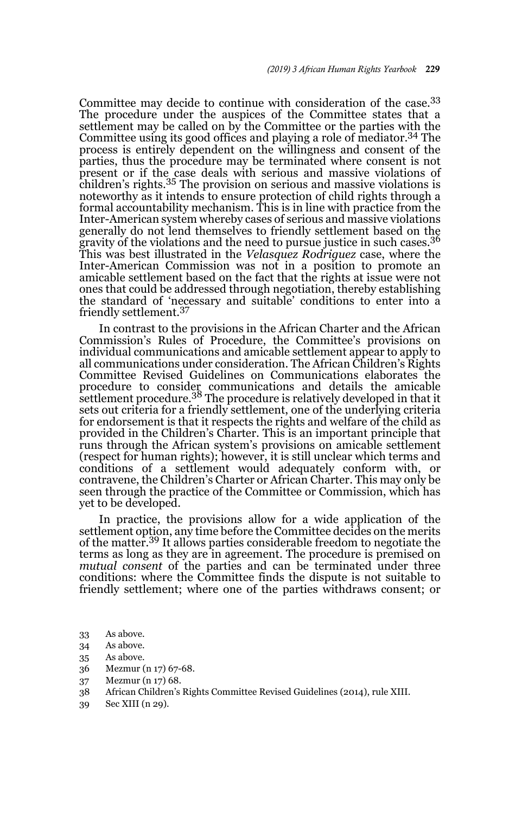Committee may decide to continue with consideration of the case.<sup>33</sup> The procedure under the auspices of the Committee states that a settlement may be called on by the Committee or the parties with the Committee using its good offices and playing a role of mediator.34 The process is entirely dependent on the willingness and consent of the parties, thus the procedure may be terminated where consent is not present or if the case deals with serious and massive violations of children's rights.35 The provision on serious and massive violations is noteworthy as it intends to ensure protection of child rights through a formal accountability mechanism. This is in line with practice from the Inter-American system whereby cases of serious and massive violations generally do not lend themselves to friendly settlement based on the gravity of the violations and the need to pursue justice in such cases.<sup>36</sup> gravity of the violations and the need to pursue justice in such cases.<sup>36</sup> This was best illustrated in the *Velasquez Rodriguez* case, where the Inter-American Commission was not in a position to promote an amicable settlement based on the fact that the rights at issue were not ones that could be addressed through negotiation, thereby establishing the standard of 'necessary and suitable' conditions to enter into a friendly settlement.<sup>37</sup>

In contrast to the provisions in the African Charter and the African Commission's Rules of Procedure, the Committee's provisions on individual communications and amicable settlement appear to apply to all communications under consideration. The African Children's Rights Committee Revised Guidelines on Communications elaborates the procedure to consider communications and details the amicable settlement procedure.38 The procedure is relatively developed in that it sets out criteria for a friendly settlement, one of the underlying criteria for endorsement is that it respects the rights and welfare of the child as provided in the Children's Charter. This is an important principle that runs through the African system's provisions on amicable settlement (respect for human rights); however, it is still unclear which terms and conditions of a settlement would adequately conform with, or contravene, the Children's Charter or African Charter. This may only be seen through the practice of the Committee or Commission, which has yet to be developed.

In practice, the provisions allow for a wide application of the settlement option, any time before the Committee decides on the merits of the matter.39 It allows parties considerable freedom to negotiate the terms as long as they are in agreement. The procedure is premised on *mutual consent* of the parties and can be terminated under three conditions: where the Committee finds the dispute is not suitable to friendly settlement; where one of the parties withdraws consent; or

- 33 As above.
- 34 As above.
- 35 As above.
- 36 Mezmur (n 17) 67-68.
- 37 Mezmur (n 17) 68.
- 38 African Children's Rights Committee Revised Guidelines (2014), rule XIII.
- 39 Sec XIII (n 29).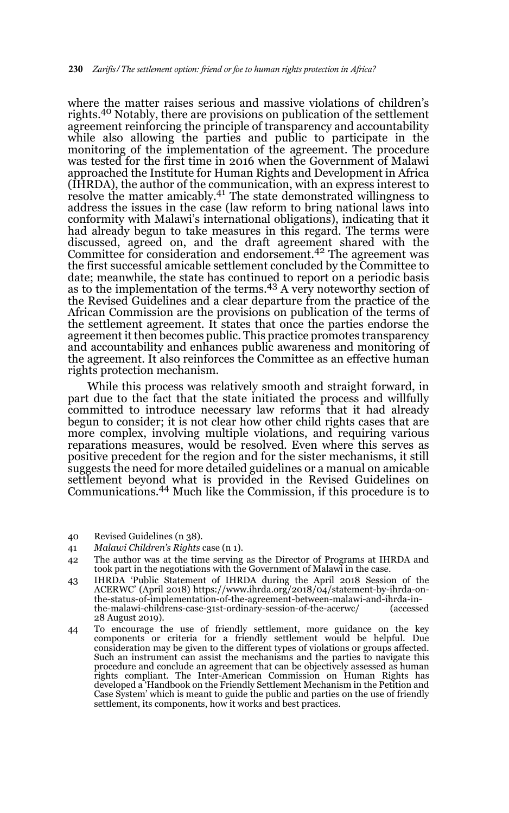where the matter raises serious and massive violations of children's rights.<sup>40</sup> Notably, there are provisions on publication of the settlement agreement reinforcing the principle of transparency and accountability while also allowing the parties and public to participate in the monitoring of the implementation of the agreement. The procedure was tested for the first time in 2016 when the Government of Malawi approached the Institute for Human Rights and Development in Africa (IHRDA), the author of the communication, with an express interest to resolve the matter amicably.41 The state demonstrated willingness to address the issues in the case (law reform to bring national laws into conformity with Malawi's international obligations), indicating that it had already begun to take measures in this regard. The terms were discussed, agreed on, and the draft agreement shared with the Committee for consideration and endorsement.<sup>42</sup> The agreement was the first successful amicable settlement concluded by the Committee to date; meanwhile, the state has continued to report on a periodic basis as to the implementation of the terms.<sup>43</sup> A very noteworthy section of the Revised Guidelines and a clear departure from the practice of the African Commission are the provisions on publication of the terms of the settlement agreement. It states that once the parties endorse the agreement it then becomes public. This practice promotes transparency and accountability and enhances public awareness and monitoring of the agreement. It also reinforces the Committee as an effective human rights protection mechanism.

While this process was relatively smooth and straight forward, in part due to the fact that the state initiated the process and willfully committed to introduce necessary law reforms that it had already begun to consider; it is not clear how other child rights cases that are more complex, involving multiple violations, and requiring various reparations measures, would be resolved. Even where this serves as positive precedent for the region and for the sister mechanisms, it still suggests the need for more detailed guidelines or a manual on amicable settlement beyond what is provided in the Revised Guidelines on Communications.44 Much like the Commission, if this procedure is to

- 40 Revised Guidelines (n 38).
- 41 *Malawi Children's Rights* case (n 1).
- 42 The author was at the time serving as the Director of Programs at IHRDA and took part in the negotiations with the Government of Malawi in the case.
- 43 IHRDA 'Public Statement of IHRDA during the April 2018 Session of the ACERWC' (April 2018) https://www.ihrda.org/2018/04/statement-by-ihrda-onthe-status-of-implementation-of-the-agreement-between-malawi-and-ihrda-inthe-malawi-childrens-case-31st-ordinary-session-of-the-acerwc/ (accessed 28 August 2019).
- 44 To encourage the use of friendly settlement, more guidance on the key components or criteria for a friendly settlement would be helpful. Due consideration may be given to the different types of violations or groups affected. Such an instrument can assist the mechanisms and the parties to navigate this procedure and conclude an agreement that can be objectively assessed as human rights compliant. The Inter-American Commission on Human Rights has developed a 'Handbook on the Friendly Settlement Mechanism in the Petition and Case System' which is meant to guide the public and parties on the use of friendly settlement, its components, how it works and best practices.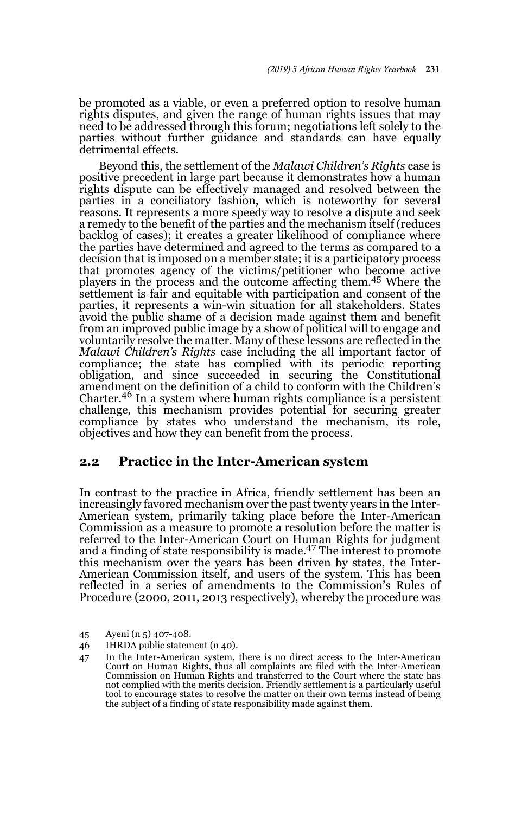be promoted as a viable, or even a preferred option to resolve human rights disputes, and given the range of human rights issues that may need to be addressed through this forum; negotiations left solely to the parties without further guidance and standards can have equally detrimental effects.

Beyond this, the settlement of the *Malawi Children's Rights* case is positive precedent in large part because it demonstrates how a human rights dispute can be effectively managed and resolved between the parties in a conciliatory fashion, which is noteworthy for several reasons. It represents a more speedy way to resolve a dispute and seek a remedy to the benefit of the parties and the mechanism itself (reduces backlog of cases); it creates a greater likelihood of compliance where the parties have determined and agreed to the terms as compared to a decision that is imposed on a member state; it is a participatory process that promotes agency of the victims/petitioner who become active players in the process and the outcome affecting them.45 Where the settlement is fair and equitable with participation and consent of the parties, it represents a win-win situation for all stakeholders. States avoid the public shame of a decision made against them and benefit from an improved public image by a show of political will to engage and voluntarily resolve the matter. Many of these lessons are reflected in the *Malawi Children's Rights* case including the all important factor of compliance; the state has complied with its periodic reporting obligation, and since succeeded in securing the Constitutional amendment on the definition of a child to conform with the Children's Charter.46 In a system where human rights compliance is a persistent challenge, this mechanism provides potential for securing greater compliance by states who understand the mechanism, its role, objectives and how they can benefit from the process.

## **2.2 Practice in the Inter-American system**

In contrast to the practice in Africa, friendly settlement has been an increasingly favored mechanism over the past twenty years in the Inter-American system, primarily taking place before the Inter-American Commission as a measure to promote a resolution before the matter is referred to the Inter-American Court on Human Rights for judgment and a finding of state responsibility is made.47 The interest to promote this mechanism over the years has been driven by states, the Inter-American Commission itself, and users of the system. This has been reflected in a series of amendments to the Commission's Rules of Procedure (2000, 2011, 2013 respectively), whereby the procedure was

<sup>45</sup> Ayeni (n 5) 407-408.

<sup>46</sup> IHRDA public statement (n 40).

<sup>47</sup> In the Inter-American system, there is no direct access to the Inter-American Court on Human Rights, thus all complaints are filed with the Inter-American Commission on Human Rights and transferred to the Court where the state has not complied with the merits decision. Friendly settlement is a particularly useful tool to encourage states to resolve the matter on their own terms instead of being the subject of a finding of state responsibility made against them.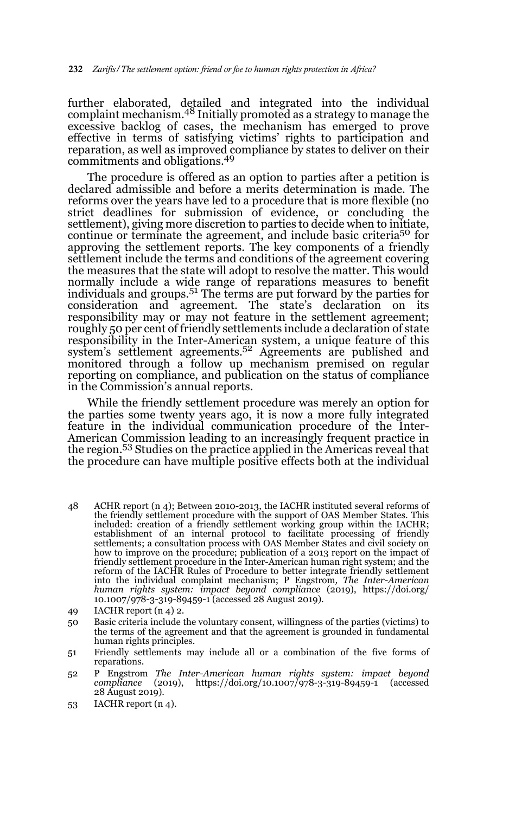further elaborated, detailed and integrated into the individual complaint mechanism.48 Initially promoted as a strategy to manage the excessive backlog of cases, the mechanism has emerged to prove effective in terms of satisfying victims' rights to participation and reparation, as well as improved compliance by states to deliver on their commitments and obligations.49

The procedure is offered as an option to parties after a petition is declared admissible and before a merits determination is made. The reforms over the years have led to a procedure that is more flexible (no strict deadlines for submission of evidence, or concluding the settlement), giving more discretion to parties to decide when to initiate, continue or terminate the agreement, and include basic criteria<sup>50</sup> for approving the settlement reports. The key components of a friendly settlement include the terms and conditions of the agreement covering the measures that the state will adopt to resolve the matter. This would normally include a wide range of reparations measures to benefit individuals and groups.51 The terms are put forward by the parties for consideration and agreement. The state's declaration on its responsibility may or may not feature in the settlement agreement; roughly 50 per cent of friendly settlements include a declaration of state responsibility in the Inter-American system, a unique feature of this system's settlement agreements.<sup>52</sup> Agreements are published and monitored through a follow up mechanism premised on regular reporting on compliance, and publication on the status of compliance in the Commission's annual reports.

While the friendly settlement procedure was merely an option for the parties some twenty years ago, it is now a more fully integrated feature in the individual communication procedure of the Inter-American Commission leading to an increasingly frequent practice in the region.<sup>53</sup> Studies on the practice applied in the Americas reveal that the procedure can have multiple positive effects both at the individual

- 48 ACHR report (n 4); Between 2010-2013, the IACHR instituted several reforms of the friendly settlement procedure with the support of OAS Member States. This included: creation of a friendly settlement working group within the IACHR; establishment of an internal protocol to facilitate processing of friendly settlements; a consultation process with OAS Member States and civil society on how to improve on the procedure; publication of a 2013 report on the impact of friendly settlement procedure in the Inter-American human right system; and the reform of the IACHR Rules of Procedure to better integrate friendly settlement into the individual complaint mechanism; P Engstrom*, The Inter-American human rights system: impact beyond compliance* (2019), https://doi.org/ 10.1007/978-3-319-89459-1 (accessed 28 August 2019).
- 49 IACHR report (n 4) 2.
- 50 Basic criteria include the voluntary consent, willingness of the parties (victims) to the terms of the agreement and that the agreement is grounded in fundamental human rights principles.
- 51 Friendly settlements may include all or a combination of the five forms of reparations.
- 52 P Engstrom *The Inter-American human rights system: impact beyond compliance* (2019), https://doi.org/10.1007/978-3-319-89459-1 (accessed 28 August 2019).

<sup>53</sup> IACHR report (n 4).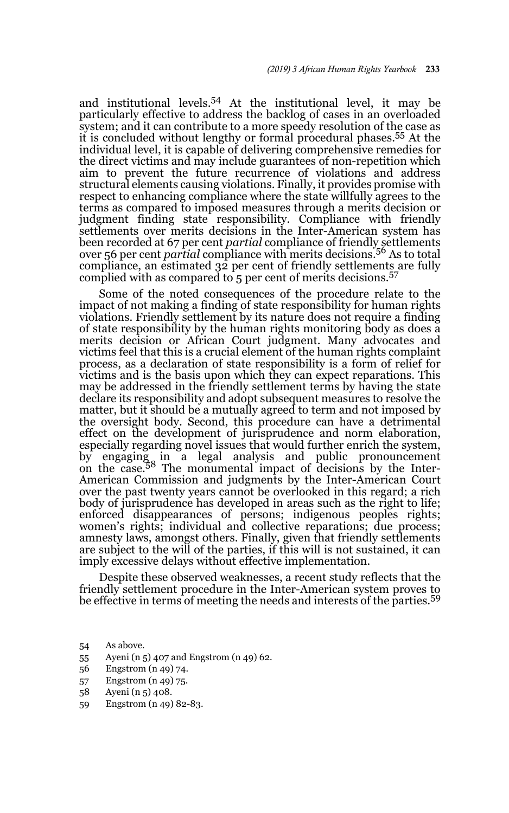and institutional levels.54 At the institutional level, it may be particularly effective to address the backlog of cases in an overloaded system; and it can contribute to a more speedy resolution of the case as it is concluded without lengthy or formal procedural phases.55 At the individual level, it is capable of delivering comprehensive remedies for the direct victims and may include guarantees of non-repetition which aim to prevent the future recurrence of violations and address structural elements causing violations. Finally, it provides promise with respect to enhancing compliance where the state willfully agrees to the terms as compared to imposed measures through a merits decision or judgment finding state responsibility. Compliance with friendly settlements over merits decisions in the Inter-American system has been recorded at 67 per cent *partial* compliance of friendly settlements over 56 per cent *partial* compliance with merits decisions.56 As to total compliance, an estimated 32 per cent of friendly settlements are fully complied with as compared to 5 per cent of merits decisions.<sup>57</sup>

Some of the noted consequences of the procedure relate to the impact of not making a finding of state responsibility for human rights violations. Friendly settlement by its nature does not require a finding of state responsibility by the human rights monitoring body as does a merits decision or African Court judgment. Many advocates and victims feel that this is a crucial element of the human rights complaint process, as a declaration of state responsibility is a form of relief for victims and is the basis upon which they can expect reparations. This may be addressed in the friendly settlement terms by having the state declare its responsibility and adopt subsequent measures to resolve the matter, but it should be a mutually agreed to term and not imposed by the oversight body. Second, this procedure can have a detrimental effect on the development of jurisprudence and norm elaboration, especially regarding novel issues that would further enrich the system, by engaging in a legal analysis and public pronouncement on the case.58 The monumental impact of decisions by the Inter-American Commission and judgments by the Inter-American Court over the past twenty years cannot be overlooked in this regard; a rich body of jurisprudence has developed in areas such as the right to life; enforced disappearances of persons; indigenous peoples rights; women's rights; individual and collective reparations; due process; amnesty laws, amongst others. Finally, given that friendly settlements are subject to the will of the parties, if this will is not sustained, it can imply excessive delays without effective implementation.

Despite these observed weaknesses, a recent study reflects that the friendly settlement procedure in the Inter-American system proves to be effective in terms of meeting the needs and interests of the parties.<sup>59</sup>

- 55 Ayeni (n 5) 407 and Engstrom (n 49) 62.
- 56 Engstrom (n 49) 74.
- 57 Engstrom (n 49) 75.
- 58 Ayeni (n 5) 408.
- 59 Engstrom (n 49) 82-83.

<sup>54</sup> As above.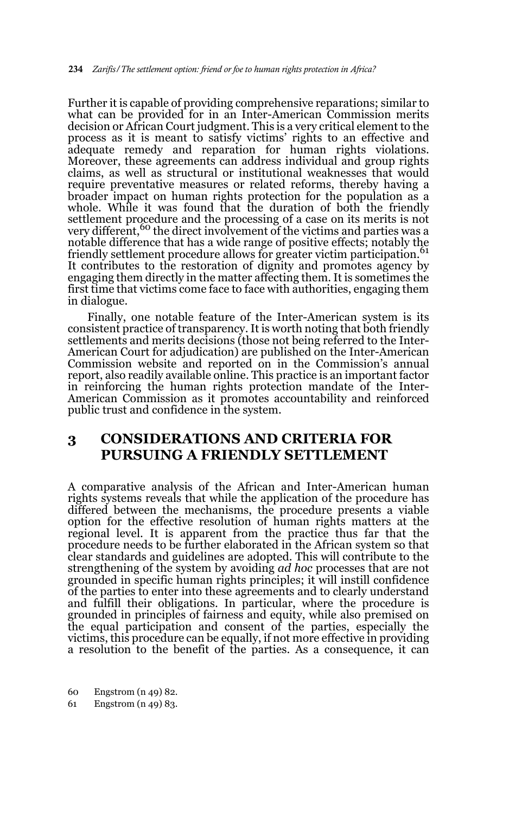Further it is capable of providing comprehensive reparations; similar to what can be provided for in an Inter-American Commission merits decision or African Court judgment. This is a very critical element to the process as it is meant to satisfy victims' rights to an effective and adequate remedy and reparation for human rights violations. Moreover, these agreements can address individual and group rights claims, as well as structural or institutional weaknesses that would require preventative measures or related reforms, thereby having a broader impact on human rights protection for the population as a whole. While it was found that the duration of both the friendly settlement procedure and the processing of a case on its merits is not very different,<sup>60</sup> the direct involvement of the victims and parties was a notable difference that has a wide range of positive effects; notably the friendly settlement procedure allows for greater victim participation.<sup>61</sup> It contributes to the restoration of dignity and promotes agency by engaging them directly in the matter affecting them. It is sometimes the first time that victims come face to face with authorities, engaging them in dialogue.

Finally, one notable feature of the Inter-American system is its consistent practice of transparency. It is worth noting that both friendly settlements and merits decisions (those not being referred to the Inter-American Court for adjudication) are published on the Inter-American Commission website and reported on in the Commission's annual report, also readily available online. This practice is an important factor in reinforcing the human rights protection mandate of the Inter-American Commission as it promotes accountability and reinforced public trust and confidence in the system.

# **3 CONSIDERATIONS AND CRITERIA FOR PURSUING A FRIENDLY SETTLEMENT**

A comparative analysis of the African and Inter-American human rights systems reveals that while the application of the procedure has differed between the mechanisms, the procedure presents a viable option for the effective resolution of human rights matters at the regional level. It is apparent from the practice thus far that the procedure needs to be further elaborated in the African system so that clear standards and guidelines are adopted. This will contribute to the strengthening of the system by avoiding *ad hoc* processes that are not grounded in specific human rights principles; it will instill confidence of the parties to enter into these agreements and to clearly understand and fulfill their obligations. In particular, where the procedure is grounded in principles of fairness and equity, while also premised on the equal participation and consent of the parties, especially the victims, this procedure can be equally, if not more effective in providing a resolution to the benefit of the parties. As a consequence, it can

60 Engstrom (n 49) 82.

61 Engstrom (n 49) 83.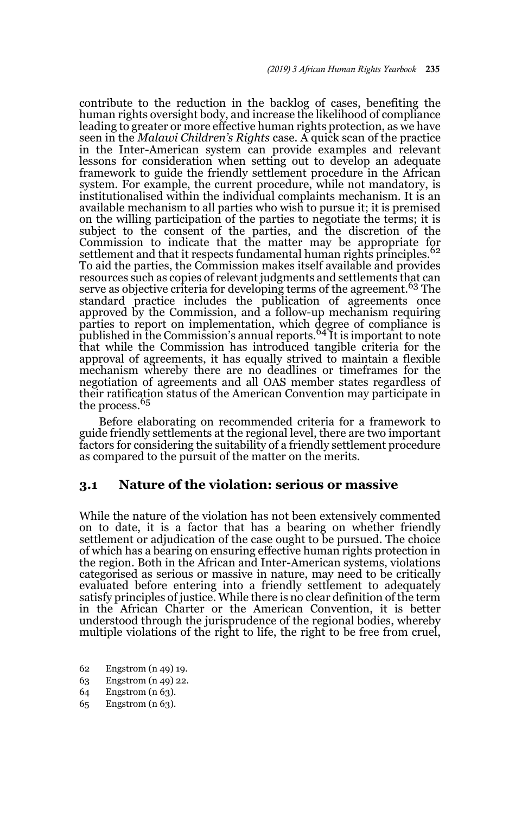contribute to the reduction in the backlog of cases, benefiting the human rights oversight body, and increase the likelihood of compliance leading to greater or more effective human rights protection, as we have seen in the *Malawi Children's Rights* case. A quick scan of the practice in the Inter-American system can provide examples and relevant lessons for consideration when setting out to develop an adequate framework to guide the friendly settlement procedure in the African system. For example, the current procedure, while not mandatory, is institutionalised within the individual complaints mechanism. It is an available mechanism to all parties who wish to pursue it; it is premised on the willing participation of the parties to negotiate the terms; it is subject to the consent of the parties, and the discretion of the Commission to indicate that the matter may be appropriate for settlement and that it respects fundamental human rights principles.<sup>62</sup> To aid the parties, the Commission makes itself available and provides resources such as copies of relevant judgments and settlements that can serve as objective criteria for developing terms of the agreement.<sup>63</sup> The standard practice includes the publication of agreements once approved by the Commission, and a follow-up mechanism requiring parties to report on implementation, which degree of compliance is published in the Commission's annual reports.<sup>64</sup> It is important to note that while the Commission has introduced tangible criteria for the approval of agreements, it has equally strived to maintain a flexible mechanism whereby there are no deadlines or timeframes for the negotiation of agreements and all OAS member states regardless of their ratification status of the American Convention may participate in the process.<sup>65</sup>

Before elaborating on recommended criteria for a framework to guide friendly settlements at the regional level, there are two important factors for considering the suitability of a friendly settlement procedure as compared to the pursuit of the matter on the merits.

### **3.1 Nature of the violation: serious or massive**

While the nature of the violation has not been extensively commented on to date, it is a factor that has a bearing on whether friendly settlement or adjudication of the case ought to be pursued. The choice of which has a bearing on ensuring effective human rights protection in the region. Both in the African and Inter-American systems, violations categorised as serious or massive in nature, may need to be critically evaluated before entering into a friendly settlement to adequately satisfy principles of justice. While there is no clear definition of the term in the African Charter or the American Convention, it is better understood through the jurisprudence of the regional bodies, whereby multiple violations of the right to life, the right to be free from cruel,

- 62 Engstrom (n 49) 19.
- 63 Engstrom (n 49) 22.
- 64 Engstrom (n 63).
- 65 Engstrom (n 63).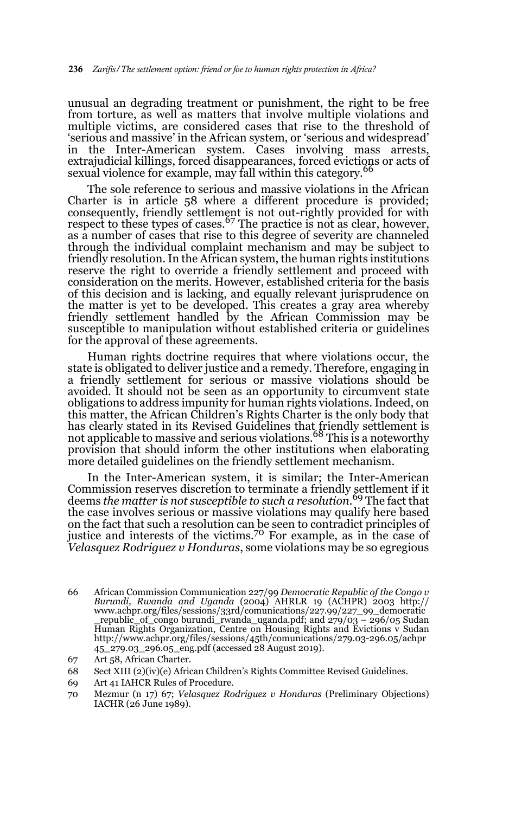unusual an degrading treatment or punishment, the right to be free from torture, as well as matters that involve multiple violations and multiple victims, are considered cases that rise to the threshold of 'serious and massive' in the African system, or 'serious and widespread' in the Inter-American system. Cases involving mass arrests, extrajudicial killings, forced disappearances, forced evictions or acts of sexual violence for example, may fall within this category.<sup>66</sup>

The sole reference to serious and massive violations in the African Charter is in article 58 where a different procedure is provided; consequently, friendly settlement is not out-rightly provided for with<br>respect to these types of cases.<sup>67</sup> The practice is not as clear, however, as a number of cases that rise to this degree of severity are channeled through the individual complaint mechanism and may be subject to friendly resolution. In the African system, the human rights institutions reserve the right to override a friendly settlement and proceed with consideration on the merits. However, established criteria for the basis of this decision and is lacking, and equally relevant jurisprudence on the matter is yet to be developed. This creates a gray area whereby friendly settlement handled by the African Commission may be susceptible to manipulation without established criteria or guidelines for the approval of these agreements.

Human rights doctrine requires that where violations occur, the state is obligated to deliver justice and a remedy. Therefore, engaging in a friendly settlement for serious or massive violations should be avoided. It should not be seen as an opportunity to circumvent state obligations to address impunity for human rights violations. Indeed, on this matter, the African Children's Rights Charter is the only body that has clearly stated in its Revised Guidelines that friendly settlement is not applicable to massive and serious violations.68 This is a noteworthy provision that should inform the other institutions when elaborating more detailed guidelines on the friendly settlement mechanism.

In the Inter-American system, it is similar; the Inter-American Commission reserves discretion to terminate a friendly settlement if it deems *the matter is not susceptible to such a resolution.*69 The fact that the case involves serious or massive violations may qualify here based on the fact that such a resolution can be seen to contradict principles of justice and interests of the victims.<sup>70</sup> For example, as in the case of *Velasquez Rodriguez v Honduras*, some violations may be so egregious

<sup>66</sup> African Commission Communication 227/99 *Democratic Republic of the Congo v Burundi, Rwanda and Uganda* (2004) AHRLR 19 (ACHPR) 2003 http:// www.achpr.org/files/sessions/33rd/comunications/227.99/227\_99\_democratic \_republic\_of\_congo burundi\_rwanda\_uganda.pdf; and 279/03 – 296/05 Sudan Human Rights Organization, Centre on Housing Rights and Evictions v Sudan http://www.achpr.org/files/sessions/45th/comunications/279.03-296.05/achpr 45\_279.03\_296.05\_eng.pdf (accessed 28 August 2019).

<sup>67</sup> Art 58, African Charter.

<sup>68</sup> Sect XIII (2)(iv)(e) African Children's Rights Committee Revised Guidelines.

<sup>69</sup> Art 41 IAHCR Rules of Procedure.

<sup>70</sup> Mezmur (n 17) 67; *Velasquez Rodriguez v Honduras* (Preliminary Objections) IACHR (26 June 1989).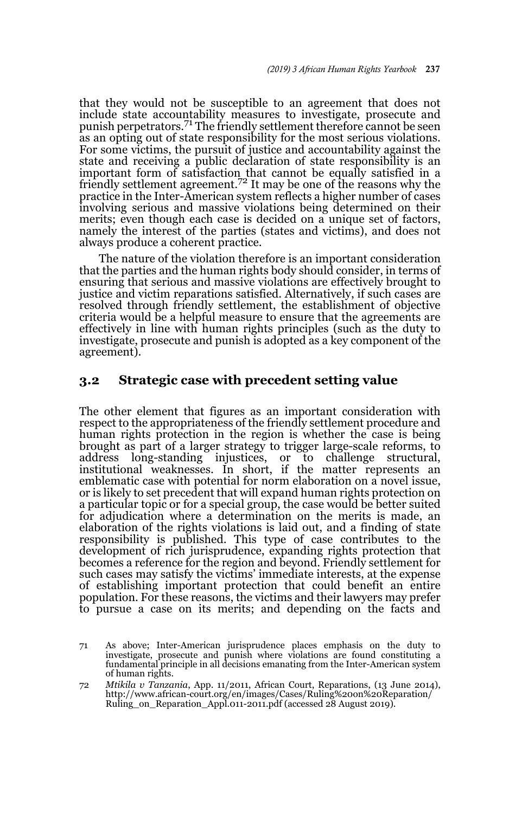that they would not be susceptible to an agreement that does not include state accountability measures to investigate, prosecute and punish perpetrators.71 The friendly settlement therefore cannot be seen as an opting out of state responsibility for the most serious violations. For some victims, the pursuit of justice and accountability against the state and receiving a public declaration of state responsibility is an important form of satisfaction that cannot be equally satisfied in a<br>friendly settlement agreement.<sup>72</sup> It may be one of the reasons why the practice in the Inter-American system reflects a higher number of cases involving serious and massive violations being determined on their merits; even though each case is decided on a unique set of factors, namely the interest of the parties (states and victims), and does not always produce a coherent practice.

The nature of the violation therefore is an important consideration that the parties and the human rights body should consider, in terms of ensuring that serious and massive violations are effectively brought to justice and victim reparations satisfied. Alternatively, if such cases are resolved through friendly settlement, the establishment of objective criteria would be a helpful measure to ensure that the agreements are effectively in line with human rights principles (such as the duty to investigate, prosecute and punish is adopted as a key component of the agreement).

## **3.2 Strategic case with precedent setting value**

The other element that figures as an important consideration with respect to the appropriateness of the friendly settlement procedure and human rights protection in the region is whether the case is being brought as part of a larger strategy to trigger large-scale reforms, to address long-standing injustices, or to challenge structural, institutional weaknesses. In short, if the matter represents an emblematic case with potential for norm elaboration on a novel issue, or is likely to set precedent that will expand human rights protection on a particular topic or for a special group, the case would be better suited for adjudication where a determination on the merits is made, an elaboration of the rights violations is laid out, and a finding of state responsibility is published. This type of case contributes to the development of rich jurisprudence, expanding rights protection that becomes a reference for the region and beyond. Friendly settlement for such cases may satisfy the victims' immediate interests, at the expense of establishing important protection that could benefit an entire population. For these reasons, the victims and their lawyers may prefer to pursue a case on its merits; and depending on the facts and

<sup>71</sup> As above; Inter-American jurisprudence places emphasis on the duty to investigate, prosecute and punish where violations are found constituting a fundamental principle in all decisions emanating from the Inter-American system of human rights.

<sup>72</sup> *Mtikila v Tanzania*, App. 11/2011, African Court, Reparations, (13 June 2014), http://www.african-court.org/en/images/Cases/Ruling%20on%20Reparation/ Ruling\_on\_Reparation\_Appl.011-2011.pdf (accessed 28 August 2019).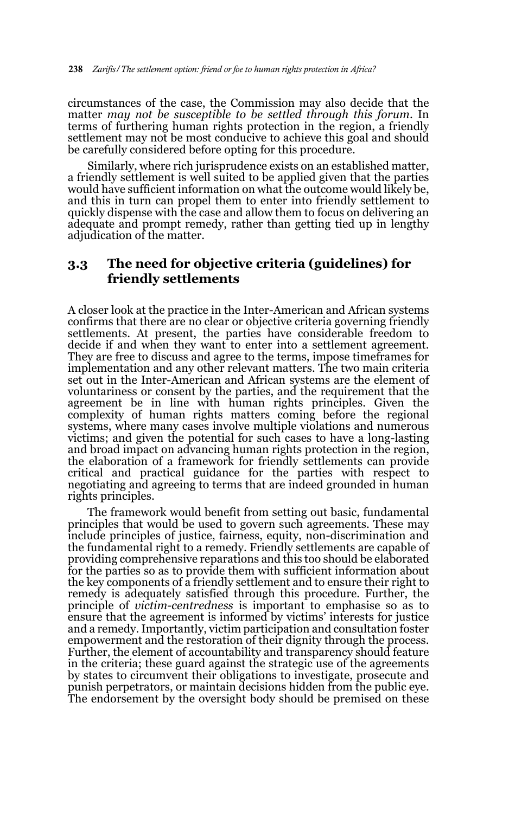circumstances of the case, the Commission may also decide that the matter *may not be susceptible to be settled through this forum*. In terms of furthering human rights protection in the region, a friendly settlement may not be most conducive to achieve this goal and should be carefully considered before opting for this procedure.

Similarly, where rich jurisprudence exists on an established matter, a friendly settlement is well suited to be applied given that the parties would have sufficient information on what the outcome would likely be, and this in turn can propel them to enter into friendly settlement to quickly dispense with the case and allow them to focus on delivering an adequate and prompt remedy, rather than getting tied up in lengthy adjudication of the matter.

## **3.3 The need for objective criteria (guidelines) for friendly settlements**

A closer look at the practice in the Inter-American and African systems confirms that there are no clear or objective criteria governing friendly settlements. At present, the parties have considerable freedom to decide if and when they want to enter into a settlement agreement. They are free to discuss and agree to the terms, impose timeframes for implementation and any other relevant matters. The two main criteria set out in the Inter-American and African systems are the element of voluntariness or consent by the parties, and the requirement that the agreement be in line with human rights principles. Given the complexity of human rights matters coming before the regional systems, where many cases involve multiple violations and numerous victims; and given the potential for such cases to have a long-lasting and broad impact on advancing human rights protection in the region, the elaboration of a framework for friendly settlements can provide critical and practical guidance for the parties with respect to negotiating and agreeing to terms that are indeed grounded in human rights principles.

The framework would benefit from setting out basic, fundamental principles that would be used to govern such agreements. These may include principles of justice, fairness, equity, non-discrimination and the fundamental right to a remedy. Friendly settlements are capable of providing comprehensive reparations and this too should be elaborated for the parties so as to provide them with sufficient information about the key components of a friendly settlement and to ensure their right to remedy is adequately satisfied through this procedure. Further, the principle of *victim-centredness* is important to emphasise so as to ensure that the agreement is informed by victims' interests for justice and a remedy. Importantly, victim participation and consultation foster empowerment and the restoration of their dignity through the process. Further, the element of accountability and transparency should feature in the criteria; these guard against the strategic use of the agreements by states to circumvent their obligations to investigate, prosecute and punish perpetrators, or maintain decisions hidden from the public eye. The endorsement by the oversight body should be premised on these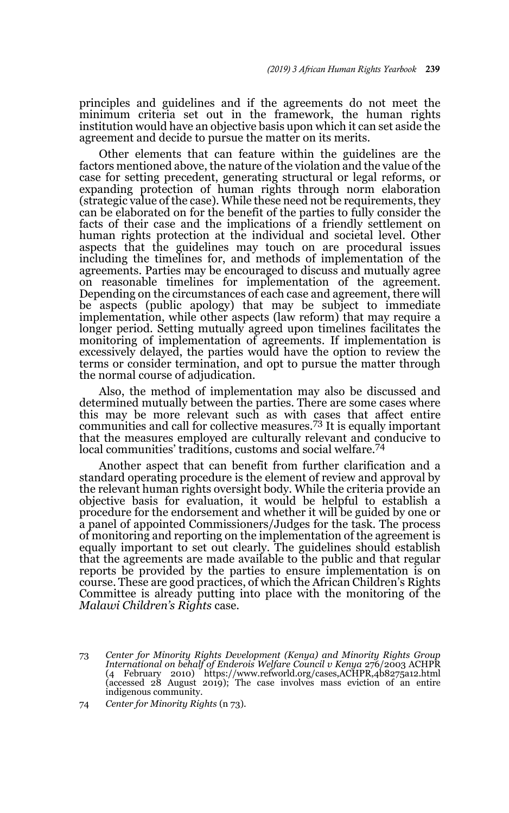principles and guidelines and if the agreements do not meet the minimum criteria set out in the framework, the human rights institution would have an objective basis upon which it can set aside the agreement and decide to pursue the matter on its merits.

Other elements that can feature within the guidelines are the factors mentioned above, the nature of the violation and the value of the case for setting precedent, generating structural or legal reforms, or expanding protection of human rights through norm elaboration (strategic value of the case). While these need not be requirements, they can be elaborated on for the benefit of the parties to fully consider the facts of their case and the implications of a friendly settlement on human rights protection at the individual and societal level. Other aspects that the guidelines may touch on are procedural issues including the timelines for, and methods of implementation of the agreements. Parties may be encouraged to discuss and mutually agree on reasonable timelines for implementation of the agreement. Depending on the circumstances of each case and agreement, there will be aspects (public apology) that may be subject to immediate implementation, while other aspects (law reform) that may require a longer period. Setting mutually agreed upon timelines facilitates the monitoring of implementation of agreements. If implementation is excessively delayed, the parties would have the option to review the terms or consider termination, and opt to pursue the matter through the normal course of adjudication.

Also, the method of implementation may also be discussed and determined mutually between the parties. There are some cases where this may be more relevant such as with cases that affect entire communities and call for collective measures.73 It is equally important that the measures employed are culturally relevant and conducive to local communities' traditions, customs and social welfare.<sup>74</sup>

Another aspect that can benefit from further clarification and a standard operating procedure is the element of review and approval by the relevant human rights oversight body. While the criteria provide an objective basis for evaluation, it would be helpful to establish a procedure for the endorsement and whether it will be guided by one or a panel of appointed Commissioners/Judges for the task. The process of monitoring and reporting on the implementation of the agreement is equally important to set out clearly. The guidelines should establish that the agreements are made available to the public and that regular reports be provided by the parties to ensure implementation is on course. These are good practices, of which the African Children's Rights Committee is already putting into place with the monitoring of the *Malawi Children's Rights* case.

<sup>73</sup> *Center for Minority Rights Development (Kenya) and Minority Rights Group International on behalf of Enderois Welfare Council v Kenya* 276/2003 ACHPR (4 February 2010) https://www.refworld.org/cases,ACHPR,4b8275a12.html (accessed 28 August 2019); The case involves mass eviction of an entire indigenous community.

<sup>74</sup> *Center for Minority Rights* (n 73).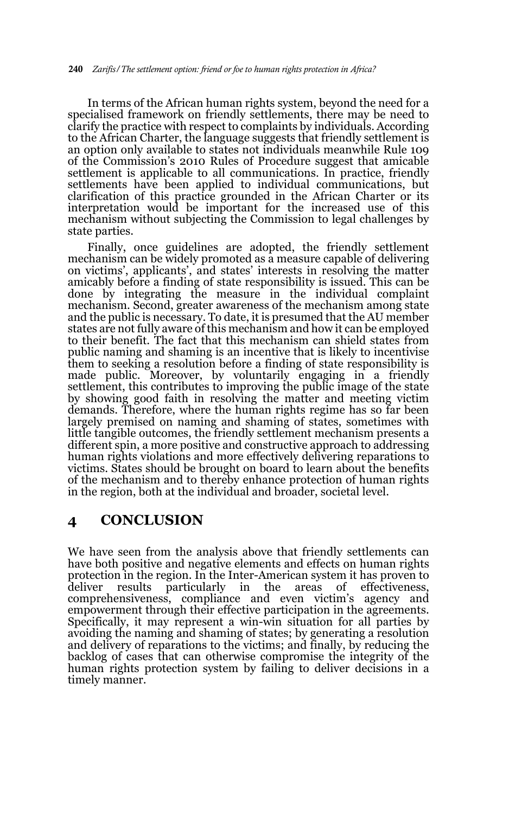In terms of the African human rights system, beyond the need for a specialised framework on friendly settlements, there may be need to clarify the practice with respect to complaints by individuals. According to the African Charter, the language suggests that friendly settlement is an option only available to states not individuals meanwhile Rule 109 of the Commission's 2010 Rules of Procedure suggest that amicable settlement is applicable to all communications. In practice, friendly settlements have been applied to individual communications, but clarification of this practice grounded in the African Charter or its interpretation would be important for the increased use of this mechanism without subjecting the Commission to legal challenges by state parties.

Finally, once guidelines are adopted, the friendly settlement mechanism can be widely promoted as a measure capable of delivering on victims', applicants', and states' interests in resolving the matter amicably before a finding of state responsibility is issued. This can be done by integrating the measure in the individual complaint mechanism. Second, greater awareness of the mechanism among state and the public is necessary. To date, it is presumed that the AU member states are not fully aware of this mechanism and how it can be employed to their benefit. The fact that this mechanism can shield states from public naming and shaming is an incentive that is likely to incentivise them to seeking a resolution before a finding of state responsibility is made public. Moreover, by voluntarily engaging in a friendly settlement, this contributes to improving the public image of the state by showing good faith in resolving the matter and meeting victim demands. Therefore, where the human rights regime has so far been largely premised on naming and shaming of states, sometimes with little tangible outcomes, the friendly settlement mechanism presents a different spin, a more positive and constructive approach to addressing human rights violations and more effectively delivering reparations to victims. States should be brought on board to learn about the benefits of the mechanism and to thereby enhance protection of human rights in the region, both at the individual and broader, societal level.

## **4 CONCLUSION**

We have seen from the analysis above that friendly settlements can have both positive and negative elements and effects on human rights protection in the region. In the Inter-American system it has proven to deliver results particularly in the areas of effectiveness, deliver results particularly in the areas of effectiveness, comprehensiveness, compliance and even victim's agency and empowerment through their effective participation in the agreements. Specifically, it may represent a win-win situation for all parties by avoiding the naming and shaming of states; by generating a resolution and delivery of reparations to the victims; and finally, by reducing the backlog of cases that can otherwise compromise the integrity of the human rights protection system by failing to deliver decisions in a timely manner.